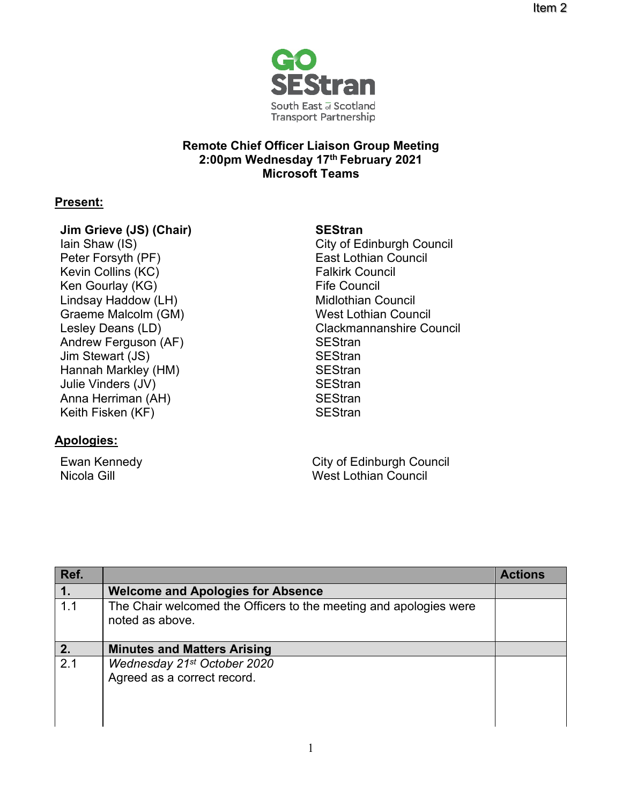

## **Remote Chief Officer Liaison Group Meeting 2:00pm Wednesday 17th February 2021 Microsoft Teams**

## **Present:**

### **Jim Grieve (JS) (Chair)**

Iain Shaw (IS) Peter Forsyth (PF) Kevin Collins (KC) Ken Gourlay (KG) Lindsay Haddow (LH) Graeme Malcolm (GM) Lesley Deans (LD) Andrew Ferguson (AF) SEStran Jim Stewart (JS) SEStran Hannah Markley (HM) Julie Vinders (JV) Anna Herriman (AH) Keith Fisken (KF)

# **Apologies:**

Ewan Kennedy Nicola Gill

### **SEStran**

City of Edinburgh Council East Lothian Council Falkirk Council Fife Council Midlothian Council West Lothian Council Clackmannanshire Council **SEStran SEStran SEStran SEStran** 

City of Edinburgh Council West Lothian Council

| Ref.           |                                                                                      | <b>Actions</b> |
|----------------|--------------------------------------------------------------------------------------|----------------|
| $\mathbf{1}$ . | <b>Welcome and Apologies for Absence</b>                                             |                |
| 1.1            | The Chair welcomed the Officers to the meeting and apologies were<br>noted as above. |                |
| 2.             | <b>Minutes and Matters Arising</b>                                                   |                |
| 2.1            | Wednesday 21st October 2020<br>Agreed as a correct record.                           |                |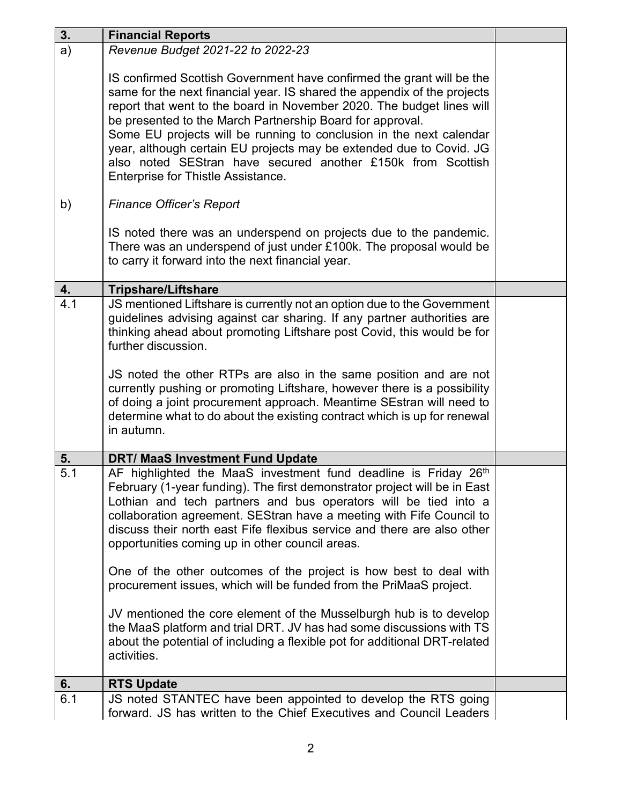| 3.  | <b>Financial Reports</b>                                                                                                                                                                                                                                                                                                                                                                                                                                                                                                                                                                                                                                                                                                                                                                                                |  |
|-----|-------------------------------------------------------------------------------------------------------------------------------------------------------------------------------------------------------------------------------------------------------------------------------------------------------------------------------------------------------------------------------------------------------------------------------------------------------------------------------------------------------------------------------------------------------------------------------------------------------------------------------------------------------------------------------------------------------------------------------------------------------------------------------------------------------------------------|--|
| a)  | Revenue Budget 2021-22 to 2022-23                                                                                                                                                                                                                                                                                                                                                                                                                                                                                                                                                                                                                                                                                                                                                                                       |  |
|     | IS confirmed Scottish Government have confirmed the grant will be the<br>same for the next financial year. IS shared the appendix of the projects<br>report that went to the board in November 2020. The budget lines will<br>be presented to the March Partnership Board for approval.<br>Some EU projects will be running to conclusion in the next calendar<br>year, although certain EU projects may be extended due to Covid. JG<br>also noted SEStran have secured another £150k from Scottish<br>Enterprise for Thistle Assistance.                                                                                                                                                                                                                                                                              |  |
| b)  | <b>Finance Officer's Report</b>                                                                                                                                                                                                                                                                                                                                                                                                                                                                                                                                                                                                                                                                                                                                                                                         |  |
|     | IS noted there was an underspend on projects due to the pandemic.<br>There was an underspend of just under £100k. The proposal would be<br>to carry it forward into the next financial year.                                                                                                                                                                                                                                                                                                                                                                                                                                                                                                                                                                                                                            |  |
| 4.  | <b>Tripshare/Liftshare</b>                                                                                                                                                                                                                                                                                                                                                                                                                                                                                                                                                                                                                                                                                                                                                                                              |  |
| 4.1 | JS mentioned Liftshare is currently not an option due to the Government<br>guidelines advising against car sharing. If any partner authorities are<br>thinking ahead about promoting Liftshare post Covid, this would be for<br>further discussion.<br>JS noted the other RTPs are also in the same position and are not<br>currently pushing or promoting Liftshare, however there is a possibility<br>of doing a joint procurement approach. Meantime SEstran will need to<br>determine what to do about the existing contract which is up for renewal<br>in autumn.                                                                                                                                                                                                                                                  |  |
| 5.  | <b>DRT/ MaaS Investment Fund Update</b>                                                                                                                                                                                                                                                                                                                                                                                                                                                                                                                                                                                                                                                                                                                                                                                 |  |
| 5.1 | AF highlighted the MaaS investment fund deadline is Friday 26 <sup>th</sup><br>February (1-year funding). The first demonstrator project will be in East<br>Lothian and tech partners and bus operators will be tied into a<br>collaboration agreement. SEStran have a meeting with Fife Council to<br>discuss their north east Fife flexibus service and there are also other<br>opportunities coming up in other council areas.<br>One of the other outcomes of the project is how best to deal with<br>procurement issues, which will be funded from the PriMaaS project.<br>JV mentioned the core element of the Musselburgh hub is to develop<br>the MaaS platform and trial DRT. JV has had some discussions with TS<br>about the potential of including a flexible pot for additional DRT-related<br>activities. |  |
| 6.  | <b>RTS Update</b>                                                                                                                                                                                                                                                                                                                                                                                                                                                                                                                                                                                                                                                                                                                                                                                                       |  |
| 6.1 | JS noted STANTEC have been appointed to develop the RTS going<br>forward. JS has written to the Chief Executives and Council Leaders                                                                                                                                                                                                                                                                                                                                                                                                                                                                                                                                                                                                                                                                                    |  |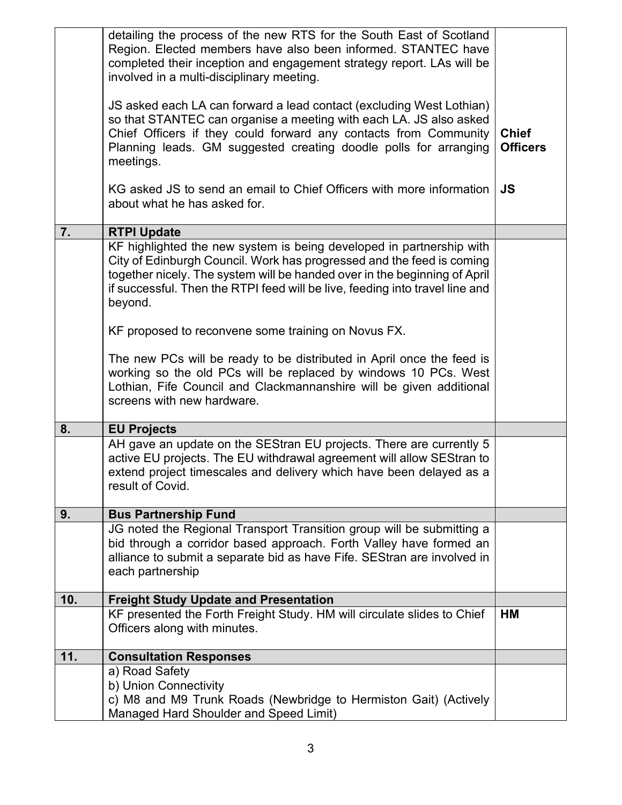|     | detailing the process of the new RTS for the South East of Scotland<br>Region. Elected members have also been informed. STANTEC have<br>completed their inception and engagement strategy report. LAs will be<br>involved in a multi-disciplinary meeting.<br>JS asked each LA can forward a lead contact (excluding West Lothian)<br>so that STANTEC can organise a meeting with each LA. JS also asked<br>Chief Officers if they could forward any contacts from Community<br>Planning leads. GM suggested creating doodle polls for arranging | <b>Chief</b><br><b>Officers</b> |
|-----|--------------------------------------------------------------------------------------------------------------------------------------------------------------------------------------------------------------------------------------------------------------------------------------------------------------------------------------------------------------------------------------------------------------------------------------------------------------------------------------------------------------------------------------------------|---------------------------------|
|     | meetings.                                                                                                                                                                                                                                                                                                                                                                                                                                                                                                                                        |                                 |
|     | KG asked JS to send an email to Chief Officers with more information<br>about what he has asked for.                                                                                                                                                                                                                                                                                                                                                                                                                                             | <b>JS</b>                       |
| 7.  | <b>RTPI Update</b>                                                                                                                                                                                                                                                                                                                                                                                                                                                                                                                               |                                 |
|     | KF highlighted the new system is being developed in partnership with<br>City of Edinburgh Council. Work has progressed and the feed is coming<br>together nicely. The system will be handed over in the beginning of April<br>if successful. Then the RTPI feed will be live, feeding into travel line and<br>beyond.                                                                                                                                                                                                                            |                                 |
|     | KF proposed to reconvene some training on Novus FX.                                                                                                                                                                                                                                                                                                                                                                                                                                                                                              |                                 |
|     | The new PCs will be ready to be distributed in April once the feed is<br>working so the old PCs will be replaced by windows 10 PCs. West<br>Lothian, Fife Council and Clackmannanshire will be given additional<br>screens with new hardware.                                                                                                                                                                                                                                                                                                    |                                 |
| 8.  | <b>EU Projects</b>                                                                                                                                                                                                                                                                                                                                                                                                                                                                                                                               |                                 |
|     | AH gave an update on the SEStran EU projects. There are currently 5<br>active EU projects. The EU withdrawal agreement will allow SEStran to<br>extend project timescales and delivery which have been delayed as a<br>result of Covid.                                                                                                                                                                                                                                                                                                          |                                 |
| 9.  | <b>Bus Partnership Fund</b>                                                                                                                                                                                                                                                                                                                                                                                                                                                                                                                      |                                 |
|     | JG noted the Regional Transport Transition group will be submitting a<br>bid through a corridor based approach. Forth Valley have formed an<br>alliance to submit a separate bid as have Fife. SEStran are involved in<br>each partnership                                                                                                                                                                                                                                                                                                       |                                 |
| 10. | <b>Freight Study Update and Presentation</b>                                                                                                                                                                                                                                                                                                                                                                                                                                                                                                     |                                 |
|     | KF presented the Forth Freight Study. HM will circulate slides to Chief<br>Officers along with minutes.                                                                                                                                                                                                                                                                                                                                                                                                                                          | НM                              |
| 11. | <b>Consultation Responses</b>                                                                                                                                                                                                                                                                                                                                                                                                                                                                                                                    |                                 |
|     | a) Road Safety<br>b) Union Connectivity<br>c) M8 and M9 Trunk Roads (Newbridge to Hermiston Gait) (Actively<br>Managed Hard Shoulder and Speed Limit)                                                                                                                                                                                                                                                                                                                                                                                            |                                 |